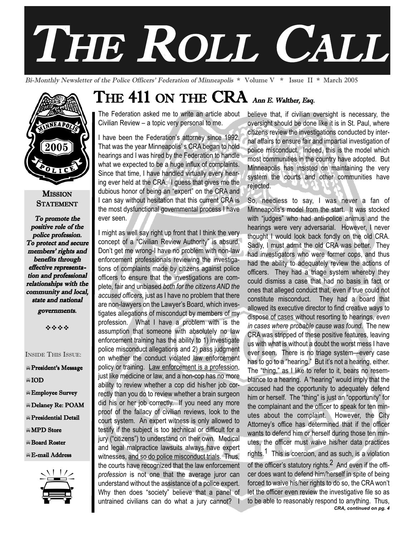# THE ROLL CALL

Bi-Monthly Newsletter of the Police Officers' Federation of Minneapolis \* Volume V \* Issue II \* March 2005



#### **MISSION STATEMENT**

To promote the positive role of the police profession. To protect and secure members' rights and benefits through effective representation and professional relationships with the community and local, state and national

governments.

----

INSIDE THIS ISSUE:

President's Message

-IOD

- -Employee Survey
- -Delaney Re: POAM
- -Presidential Detail

**MPD** Store

- -Board Roster
- -E-mail Address



# THE 411 ON THE CRA Ann E. Walther, Esq.

The Federation asked me to write an article about Civilian Review – a topic very personal to me.

I have been the Federation's attorney since 1992. That was the year Minneapolis' s CRA began to hold hearings and I was hired by the Federation to handle what we expected to be a huge influx of complaints. Since that time, I have handled virtually every hearing ever held at the CRA. I guess that gives me the dubious honor of being an "expert" on the CRA and I can say without hesitation that this current CRA is the most dysfunctional governmental process I have ever seen.

I might as well say right up front that I think the very concept of a "Civilian Review Authority" is absurd. Don't get me wrong-I have no problem with non-law enforcement professionals reviewing the investigations of complaints made by citizens against police officers to ensure that the investigations are complete, fair and unbiased *both for the citizens AND the accused officers*, just as I have no problem that there are non-lawyers on the Lawyer's Board, which investigates allegations of misconduct by members of my profession. What I have a problem with is the assumption that someone with absolutely no law enforcement training has the ability to 1) investigate police misconduct allegations and 2) pass judgment on whether the conduct violated law enforcement policy or training. Law enforcement is a profession, just like medicine or law, and a non-cop has no more ability to review whether a cop did his/her job correctly than you do to review whether a brain surgeon did his or her job correctly. If you need any more proof of the fallacy of civilian reviews, look to the court system. An expert witness is only allowed to testify if the subject is too technical or difficult for a jury ("citizens") to understand on their own. Medical and legal malpractice lawsuits always have expert witnesses, and so do police misconduct trials. Thus, the courts have recognized that the law enforcement *profession* is not one that the average juror can understand without the assistance of a police expert. Why then does "society" believe that a panel of WITHESSES, <u>and so do police misconduct trials.</u> Thus, the is economic, and as each, is a visible out the officer is statured in the officer is statured in the officer is statured in the officer is statured in the officer

believe that, if civilian oversight is necessary, the oversight should be done like it is in St. Paul, where citizens review the investigations conducted by internal affairs to ensure fair and impartial investigation of police misconduct. Indeed, this is the model which most communities in the country have adopted. But Minneapolis has insisted on maintaining the very system the courts and other communities have rejected.

**THE TIME** untrained civilians can do what a jury cannot? I to be able to reasonably respond to anything. Thus, So, needless to say, I was never a fan of Minneapolis's model from the start. It was stocked with "judges" who had anti-police animus and the hearings were very adversarial. However, I never thought I would look back fondly on the old CRA. Sadly, I must admit the old CRA was better. They had investigators who were former cops, and thus had the ability to adequately review the actions of officers. They had a triage system whereby they could dismiss a case that had no basis in fact or ones that alleged conduct that, even if true could not constitute misconduct. They had a board that allowed its executive director to find creative ways to dispose of cases without resorting to hearings, *even in cases where probable cause was found*. The new CRA was stripped of these positive features, leaving us with what is without a doubt the worst mess I have ever seen. There is no triage system—every case has to go to a "hearing." But it's not a hearing, either. The "thing," as I like to refer to it, bears no resemblance to a hearing. A "hearing" would imply that the accused had the opportunity to adequately defend him or herself. The "thing" is just an "opportunity" for the complainant and the officer to speak for ten minutes about the complaint. However, the City Attorney's office has determined that if the officer wants to defend him or herself during those ten minutes, the officer must waive his/her data practices rights.1 This is coercion, and as such, is a violation of the officer's statutory rights.<sup>2</sup> And even if the officer does want to defend him/herself in spite of being forced to waive his/her rights to do so, the CRA won't *CRA, continued on pg. 4*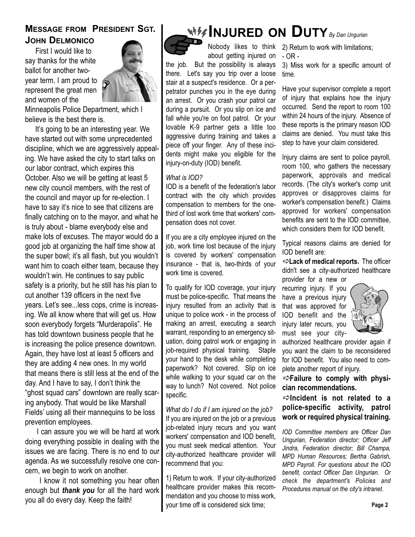## **MESSAGE FROM PRESIDENT SGT. JOHN DELMONICO**

First I would like to say thanks for the white ballot for another twoyear term. I am proud to represent the great men and women of the



Minneapolis Police Department, which I believe is the best there is.

It's going to be an interesting year. We have started out with some unprecedented discipline, which we are aggressively appealing. We have asked the city to start talks on our labor contract, which expires this October. Also we will be getting at least 5 new city council members, with the rest of the council and mayor up for re-election. I have to say it's nice to see that citizens are finally catching on to the mayor, and what he is truly about - blame everybody else and make lots of excuses. The mayor would do a good job at organizing the half time show at the super bowl; it's all flash, but you wouldn't want him to coach either team, because they wouldn't win. He continues to say public safety is a priority, but he still has his plan to cut another 139 officers in the next five years. Let's see...less cops, crime is increasing. We all know where that will get us. How soon everybody forgets "Murderapolis". He has told downtown business people that he is increasing the police presence downtown. Again, they have lost at least 5 officers and they are adding 4 new ones. In my world that means there is still less at the end of the day. And I have to say, I don't think the "ghost squad cars" downtown are really scaring anybody. That would be like Marshall Fields' using all their mannequins to be loss prevention employees.

I can assure you we will be hard at work doing everything possible in dealing with the issues we are facing. There is no end to our agenda. As we successfully resolve one concern, we begin to work on another.

I know it not something you hear often enough but *thank you* for all the hard work you all do every day. Keep the faith!

# **INJURED ON DUTY***By Dan Ungurian*

about getting injured on the job. But the possibility is always there. Let's say you trip over a loose stair at a suspect's residence. Or a perpetrator punches you in the eye during an arrest. Or you crash your patrol car during a pursuit. Or you slip on ice and fall while you're on foot patrol. Or your lovable K-9 partner gets a little too aggressive during training and takes a piece off your finger. Any of these incidents might make you eligible for the injury-on-duty (IOD) benefit.

#### *What is IOD?*

IOD is a benefit of the federation's labor contract with the city which provides compensation to members for the onethird of lost work time that workers' compensation does not cover.

If you are a city employee injured on the job, work time lost because of the injury is covered by workers' compensation insurance - that is, two-thirds of your work time is covered.

To qualify for IOD coverage, your injury must be police-specific. That means the injury resulted from an activity that is unique to police work - in the process of making an arrest, executing a search warrant, responding to an emergency situation, doing patrol work or engaging in job-required physical training. Staple your hand to the desk while completing paperwork? Not covered. Slip on ice while walking to your squad car on the way to lunch? Not covered. Not police specific.

*What do I do if I am injured on the job?* If you are injured on the job or a previous job-related injury recurs and you want workers' compensation and IOD benefit, you must seek medical attention. Your city-authorized healthcare provider will recommend that you:

1) Return to work. If your city-authorized healthcare provider makes this recommendation and you choose to miss work, your time off is considered sick time;

Nobody likes to think 2) Return to work with limitations; - OR -

> 3) Miss work for a specific amount of time.

> Have your supervisor complete a report of injury that explains how the injury occurred. Send the report to room 100 within 24 hours of the injury. Absence of these reports is the primary reason IOD claims are denied. You must take this step to have your claim considered.

> Injury claims are sent to police payroll, room 100, who gathers the necessary paperwork, approvals and medical records. (The city's worker's comp unit approves or disapproves claims for worker's compensation benefit.) Claims approved for workers' compensation benefits are sent to the IOD committee, which considers them for IOD benefit.

> Typical reasons claims are denied for IOD benefit are:

> -**Lack of medical reports.** The officer didn't see a city-authorized healthcare provider for a new or

recurring injury. If you have a previous injury that was approved for IOD benefit and the injury later recurs, you must see your city-



authorized healthcare provider again if you want the claim to be reconsidered for IOD benefit. You also need to complete another report of injury.

-**Failure to comply with physician recommendations.**

-**Incident is not related to a police-specific activity, patrol work or required physical training.**

*IOD Committee members are Officer Dan Ungurian, Federation director; Officer Jeff Jindra, Federation director; Bill Champa, MPD Human Resources; Bertha Gabrish, MPD Payroll. For questions about the IOD benefit, contact Officer Dan Ungurian. Or check the department's Policies and Procedures manual on the city's intranet.*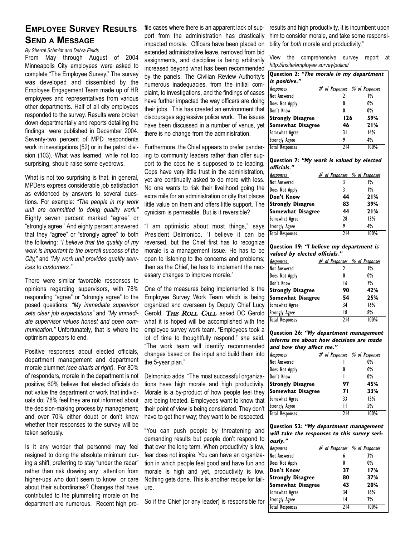## **EMPLOYEE SURVEY RESULTS SEND A MESSAGE**

*By Sherral Schmidt and Debra Fields*

From May through August of 2004 Minneapolis City employees were asked to complete "The Employee Survey." The survey was developed and dissembled by the Employee Engagement Team made up of HR employees and representatives from various other departments. Half of all city employees responded to the survey. Results were broken down departmentally and reports detailing the findings were published in December 2004. Seventy-two percent of MPD respondents work in investigations (52) or in the patrol division (103). What was learned, while not too surprising, should raise some eyebrows.

What is not too surprising is that, in general, MPDers express considerable job satisfaction as evidenced by answers to several questions. For example: *"The people in my work unit are committed to doing quality work."* Eighty seven percent marked "agree" or "strongly agree." And eighty percent answered that they "agree" or "strongly agree" to both the following: *"I believe that the quality of my work is important to the overall success of the City,"* and *"My work unit provides quality services to customers."* 

There were similar favorable responses to opinions regarding supervisors, with 78% responding "agree" or "strongly agree" to the posed questions: *"My immediate supervisor sets clear job expectations"* and *"My immediate supervisor values honest and open communication."* Unfortunately, that is where the optimism appears to end.

Positive responses about elected officials, department management and department morale plummet *(see charts at right).* For 80% of responders, morale in the department is not positive; 60% believe that elected officials do not value the department or work that individuals do; 78% feel they are not informed about the decision-making process by management; and over 70% either doubt or don't know whether their responses to the survey will be taken seriously.

Is it any wonder that personnel may feel resigned to doing the absolute minimum during a shift, preferring to stay "under the radar" rather than risk drawing any attention from higher-ups who don't seem to know or care about their subordinates? Changes that have contributed to the plummeting morale on the department are numerous. Recent high profile cases where there is an apparent lack of support from the administration has drastically impacted morale. Officers have been placed on extended administrative leave, removed from bid assignments, and discipline is being arbitrarily increased beyond what has been recommended by the panels. The Civilian Review Authority's numerous inadequacies, from the initial complaint, to investigations, and the findings of cases have further impacted the way officers are doing their jobs. This has created an environment that discourages aggressive police work. The issues have been discussed in a number of venus, yet there is no change from the administration.

Furthermore, the Chief appears to prefer pandering to community leaders rather than offer support to the cops he is supposed to be leading. Cops have very little trust in the administration, yet are continually asked to do more with less. No one wants to risk their livelihood going the extra mile for an administration or city that places little value on them and offers little support. The cynicism is permeable. But is it reversible?

"I am optimistic about most things," says President Delmonico. "I believe it can be reversed, but the Chief first has to recognize morale is a management issue. He has to be open to listening to the concerns and problems; then as the Chief, he has to implement the necessary changes to improve morale."

One of the measures being implemented is the Employee Survey Work Team which is being organized and overseen by Deputy Chief Lucy Gerold. THE ROLL CALL asked DC Gerold what it is hoped will be accomplished with the employee survey work team. "Employees took a lot of time to thoughtfully respond," she said. "The work team will identify recommended changes based on the input and build them into the 5-year plan."

Delmonico adds, "The most successful organizations have high morale and high productivity. Morale is a by-product of how people feel they are being treated. Employees want to know that their point of view is being considered. They don't have to get their way; they want to be respected.

"You can push people by threatening and demanding results but people don't respond to that over the long term. When productivity is low, fear does not inspire. You can have an organization in which people feel good and have fun and morale is high and yet, productivity is low. Nothing gets done. This is another recipe for failure.

So if the Chief (or any leader) is responsible for

results and high productivity, it is incumbent upon him to consider morale, and take some responsibility for *both* morale and productivity."

View the comprehensive survey report at *http://insite/employee survey/police/*

| Question 2: "The morale in my department |                                      |       |
|------------------------------------------|--------------------------------------|-------|
| is positive."                            |                                      |       |
| <u>Responses</u>                         | <u># of Responses % of Responses</u> |       |
| Not Answered                             |                                      | 1%    |
| Does Not Apply                           | 0                                    | $0\%$ |
| Don't Know                               | 0                                    | $0\%$ |
| <b>Strongly Disagree</b>                 | 126                                  | 59%   |
| <b>Somewhat Disagree</b>                 | 46                                   | 21%   |
| Somewhat Agree                           | 31                                   | 14%   |
| <b>Strongly Agree</b>                    | 9                                    | 4%    |
| <b>Total Responses</b>                   | 714                                  | 100%  |

**Question 7: "My work is valued by elected officials."**

| <b>Responses</b>         | <u># of Responses % of Responses</u> |      |
|--------------------------|--------------------------------------|------|
| Not Answered             |                                      | 1%   |
| Does Not Apply           | ₹                                    | 1%   |
| Don't Know               | 44                                   | 21%  |
| <b>Strongly Disagree</b> | 83                                   | 39%  |
| <b>Somewhat Disagree</b> | 44                                   | 21%  |
| Somewhat Agree           | 28                                   | 13%  |
| <b>Strongly Agree</b>    | 9                                    | 4%   |
| <b>Total Responses</b>   | 714                                  | 100% |

**Question 19: "I believe my department is valued by elected officials."**

| <b>Responses</b>         | # of Responses % of Responses |       |
|--------------------------|-------------------------------|-------|
| Not Answered             |                               | $1\%$ |
| Does Not Apply           | 0                             | 0%    |
| Don't Know               | 16                            | 7%    |
| <b>Strongly Disagree</b> | 90                            | 42%   |
| <b>Somewhat Disagree</b> | 54                            | 25%   |
| Somewhat Agree           | 34                            | 16%   |
| <b>Strongly Agree</b>    | 18                            | 8%    |
| <b>Total Responses</b>   | 714                           | 100%  |

**Question 26: "My department management informs me about how decisions are made and how they affect me."**

| <b>Responses</b>         | <u># of Responses % of Responses</u> |       |
|--------------------------|--------------------------------------|-------|
| <b>Not Answered</b>      |                                      | 0%    |
| Does Not Apply           | 0                                    | $0\%$ |
| Don't Know               |                                      | $0\%$ |
| <b>Strongly Disagree</b> | 97                                   | 45%   |
| <b>Somewhat Disagree</b> | 71                                   | 33%   |
| Somewhat Agree           | 33                                   | 15%   |
| <b>Strongly Agree</b>    | П                                    | 5%    |
| <b>Total Responses</b>   | $\overline{214}$                     | 100%  |

**Question 52: "My department management will take the responses to this survey seriously."**

| <u>Responses</u>         | <u># of Responses % of Responses</u> |       |
|--------------------------|--------------------------------------|-------|
| Not Answered             | 6                                    | 3%    |
| Does Not Apply           | 0                                    | $0\%$ |
| Don't Know               | 37                                   | 17%   |
| <b>Strongly Disagree</b> | 80                                   | 37%   |
| Somewhat Disagree        | 43                                   | 20%   |
| Somewhat Agree           | 34                                   | 16%   |
| <b>Strongly Agree</b>    | 4                                    | 7%    |
| <b>Total Responses</b>   | $\overline{214}$                     | 100%  |
|                          |                                      |       |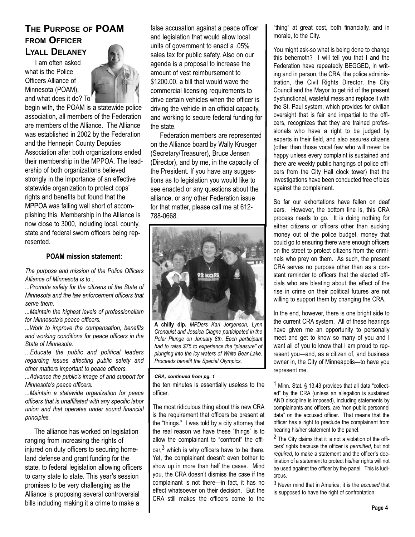### **THE PURPOSE OF POAM FROM OFFICER LYALL DELANEY**

I am often asked what is the Police Officers Alliance of Minnesota (POAM), and what does it do? To



begin with, the POAM is a statewide police association, all members of the Federation are members of the Alliance. The Alliance was established in 2002 by the Federation and the Hennepin County Deputies Association after both organizations ended their membership in the MPPOA. The leadership of both organizations believed strongly in the importance of an effective statewide organization to protect cops' rights and benefits but found that the MPPOA was falling well short of accomplishing this. Membership in the Alliance is now close to 3000, including local, county, state and federal sworn officers being represented.

#### **POAM mission statement:**

*The purpose and mission of the Police Officers Alliance of Minnesota is to...*

*...Promote safety for the citizens of the State of Minnesota and the law enforcement officers that serve them.*

*...Maintain the highest levels of professionalism for Minnesota's peace officers.*

*...Work to improve the compensation, benefits and working conditions for peace officers in the State of Minnesota.*

*...Educate the public and political leaders regarding issues affecting public safety and other matters important to peace officers.*

*...Advance the public's image of and support for Minnesota's peace officers.*

*...Maintain a statewide organization for peace officers that is unaffiliated with any specific labor union and that operates under sound financial principles.* 

The alliance has worked on legislation ranging from increasing the rights of injured on duty officers to securing homeland defense and grant funding for the state, to federal legislation allowing officers to carry state to state. This year's session promises to be very challenging as the Alliance is proposing several controversial bills including making it a crime to make a **Page 4 Page 4 Page 4 Page 4 Page 4** 

false accusation against a peace officer and legislation that would allow local units of government to enact a .05% sales tax for public safety. Also on our agenda is a proposal to increase the amount of vest reimbursement to \$1200.00, a bill that would wave the commercial licensing requirements to drive certain vehicles when the officer is driving the vehicle in an official capacity, and working to secure federal funding for the state.

Federation members are represented on the Alliance board by Wally Krueger (Secretary/Treasurer), Bruce Jensen (Director), and by me, in the capacity of the President. If you have any suggestions as to legislation you would like to see enacted or any questions about the alliance, or any other Federation issue for that matter, please call me at 612- 788-0668.



**A chilly dip.** *MPDers Kari Jorgenson, Lynn Cronquist and Jessica Ciagne participated in the Polar Plunge on January 8th. Each participant had to raise \$75 to experience the "pleasure" of plunging into the icy waters of White Bear Lake. Proceeds benefit the Special Olympics.* 

#### *CRA, continued from pg. 1*

the ten minutes is essentially useless to the officer.

The most ridiculous thing about this new CRA is the requirement that officers be present at the "things." I was told by a city attorney that the real reason we have these "things" is to allow the complainant to "confront" the offi-

 $cer<sup>3</sup>$  which is why officers have to be there. Yet, the complainant doesn't even bother to show up in more than half the cases. Mind you, the CRA doesn't dismiss the case if the complainant is not there—in fact, it has no effect whatsoever on their decision. But the CRA still makes the officers come to the "thing" at great cost, both financially, and in morale, to the City.

You might ask-so what is being done to change this behemoth? I will tell you that I and the Federation have repeatedly BEGGED, in writing and in person, the CRA, the police administration, the Civil Rights Director, the City Council and the Mayor to get rid of the present dysfunctional, wasteful mess and replace it with the St. Paul system, which provides for civilian oversight that is fair and impartial to the officers, recognizes that they are trained professionals who have a right to be judged by experts in their field, and also assures citizens (other than those vocal few who will never be happy unless every complaint is sustained and there are weekly public hangings of police officers from the City Hall clock tower) that the investigations have been conducted free of bias against the complainant.

So far our exhortations have fallen on deaf ears. However, the bottom line is, this CRA process needs to go. It is doing nothing for either citizens or officers other than sucking money out of the police budget, money that could go to ensuring there were enough officers on the street to protect citizens from the criminals who prey on them. As such, the present CRA serves no purpose other than as a constant reminder to officers that the elected officials who are bleating about the effect of the rise in crime on their political futures are not willing to support them by changing the CRA.

In the end, however, there is one bright side to the current CRA system. All of these hearings have given me an opportunity to personally meet and get to know so many of you and I want all of you to know that I am proud to represent you—and, as a citizen of, and business owner in, the City of Minneapolis—to have you represent me.

1 Minn. Stat. § 13.43 provides that all data "collected" by the CRA (unless an allegation is sustained AND discipline is imposed), including statements by complainants and officers, are "non-public personnel data" on the accused officer. That means that the officer has a right to preclude the complainant from hearing his/her statement to the panel.

<sup>2</sup> The City claims that it is not a violation of the officers' rights because the officer is *permitted*, but not *required*, to make a statement and the officer's declination of a statement to protect his/her rights will not be used against the officer by the panel. This is ludicrous.

3 Never mind that in America, it is the *accused* that is supposed to have the right of confrontation.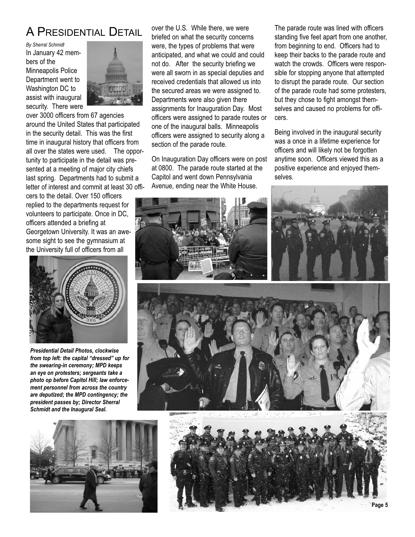# A PRESIDENTIAL DETAIL

*By Sherral Schmidt* In January 42 members of the Minneapolis Police Department went to Washington DC to assist with inaugural security. There were



over 3000 officers from 67 agencies around the United States that participated in the security detail. This was the first time in inaugural history that officers from all over the states were used. The opportunity to participate in the detail was presented at a meeting of major city chiefs last spring. Departments had to submit a letter of interest and commit at least 30 offi-

cers to the detail. Over 150 officers replied to the departments request for volunteers to participate. Once in DC, officers attended a briefing at Georgetown University. It was an awesome sight to see the gymnasium at the University full of officers from all



*Presidential Detail Photos, clockwise from top left: the capital "dressed" up for the swearing-in ceremony; MPD keeps an eye on protesters; sergeants take a photo op before Capitol Hill; law enforcement personnel from across the country are deputized; the MPD contingency; the president passes by; Director Sherral Schmidt and the Inaugural Seal.* 



over the U.S. While there, we were briefed on what the security concerns were, the types of problems that were anticipated, and what we could and could not do. After the security briefing we were all sworn in as special deputies and received credentials that allowed us into the secured areas we were assigned to. Departments were also given there assignments for Inauguration Day. Most officers were assigned to parade routes or one of the inaugural balls. Minneapolis officers were assigned to security along a section of the parade route.

On Inauguration Day officers were on post at 0800. The parade route started at the Capitol and went down Pennsylvania Avenue, ending near the White House.

The parade route was lined with officers standing five feet apart from one another, from beginning to end. Officers had to keep their backs to the parade route and watch the crowds. Officers were responsible for stopping anyone that attempted to disrupt the parade route. Our section of the parade route had some protesters, but they chose to fight amongst themselves and caused no problems for officers.

Being involved in the inaugural security was a once in a lifetime experience for officers and will likely not be forgotten anytime soon. Officers viewed this as a positive experience and enjoyed themselves.